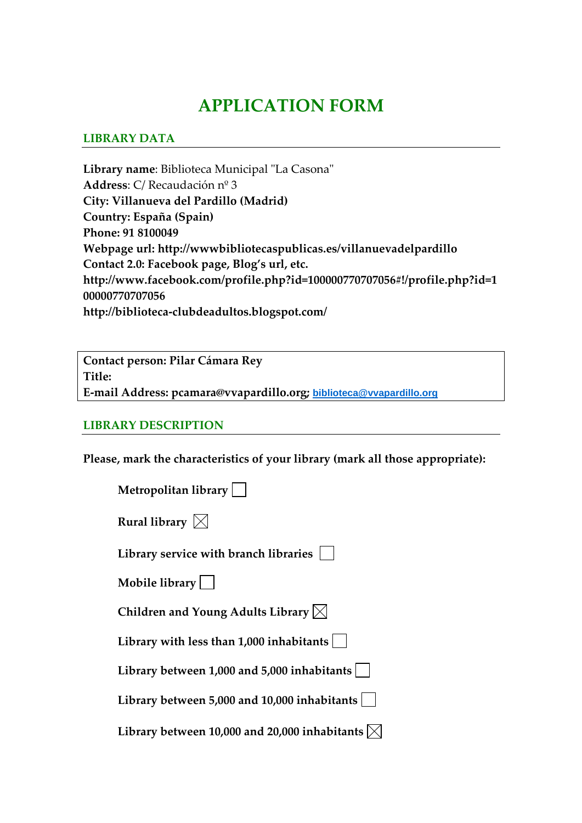## **APPLICATION FORM**

## **LIBRARY DATA**

Library name: Biblioteca Municipal "La Casona" **Address**: C/ Recaudación nº 3 **City: Villanueva del Pardillo (Madrid) Country: España (Spain) Phone: 91 8100049 Webpage url: http://wwwbibliotecaspublicas.es/villanuevadelpardillo Contact 2.0: Facebook page, Blog's url, etc. http://www.facebook.com/profile.php?id=100000770707056#!/profile.php?id=1 00000770707056 http://biblioteca‐clubdeadultos.blogspot.com/**

**Contact person: Pilar Cámara Rey Title: E‐mail Address: pcamara@vvapardillo.org; [biblioteca@vvapardillo.org](mailto:biblioteca@vvapardillo.org)**

## **LIBRARY DESCRIPTION**

**Please, mark the characteristics of your library (mark all those appropriate):**

| <b>Metropolitan library</b> [ |  |  |
|-------------------------------|--|--|
|                               |  |  |

| Rural library $\boxtimes$ |  |
|---------------------------|--|
|---------------------------|--|

**Library service with branch libraries** 

**Mobile library**

**Children and Young Adults Library**

**Library with less than 1,000 inhabitants**

**Library between 1,000 and 5,000 inhabitants**

**Library between 5,000 and 10,000 inhabitants**

**Library** between 10,000 and 20,000 inhabitants  $\bowtie$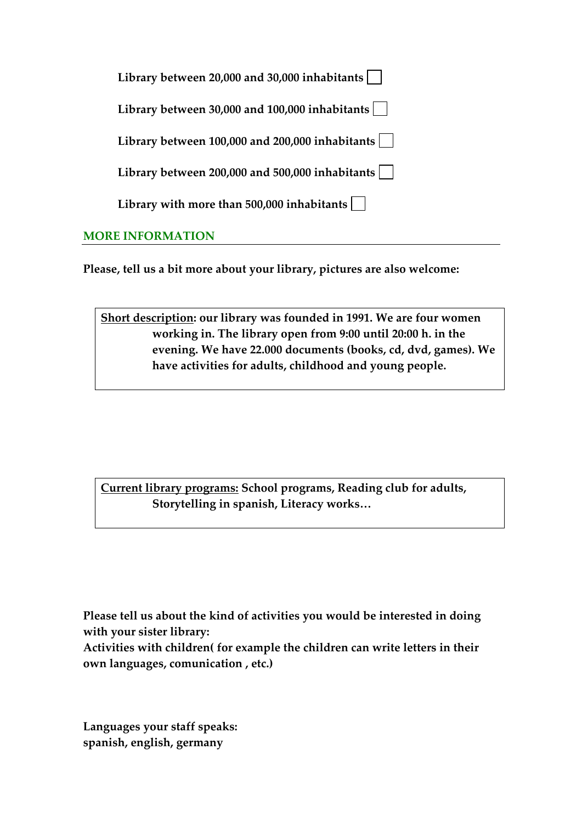|    | Library between 20,000 and 30,000 inhabitants      |
|----|----------------------------------------------------|
|    | Library between $30,000$ and $100,000$ inhabitants |
|    | Library between 100,000 and 200,000 inhabitants    |
|    | Library between 200,000 and 500,000 inhabitants    |
|    | Library with more than $500,000$ inhabitants $ $   |
| MO | <b>E INFORMATION</b>                               |

**Please, tell us a bit more about your library, pictures are also welcome:** 

**Short description: our library was founded in 1991. We are four women working in. The library open from 9:00 until 20:00 h. in the evening. We have 22.000 documents (books, cd, dvd, games). We have activities for adults, childhood and young people.** 

**Current library programs: School programs, Reading club for adults, Storytelling in spanish, Literacy works…** 

**Please tell us about the kind of activities you would be interested in doing with your sister library:**

**Activities with children( for example the children can write letters in their own languages, comunication , etc.)**

**Languages your staff speaks: spanish, english, germany**